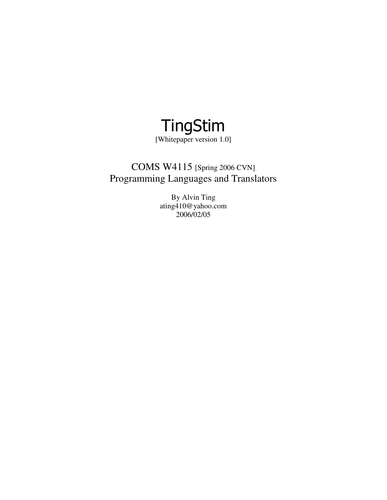

[Whitepaper version 1.0]

# COMS W4115 [Spring 2006 CVN] Programming Languages and Translators

By Alvin Ting ating410@yahoo.com 2006/02/05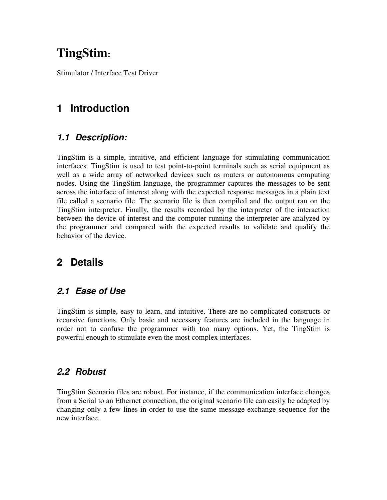# **TingStim:**

Stimulator / Interface Test Driver

# **1 Introduction**

#### **1.1 Description:**

TingStim is a simple, intuitive, and efficient language for stimulating communication interfaces. TingStim is used to test point-to-point terminals such as serial equipment as well as a wide array of networked devices such as routers or autonomous computing nodes. Using the TingStim language, the programmer captures the messages to be sent across the interface of interest along with the expected response messages in a plain text file called a scenario file. The scenario file is then compiled and the output ran on the TingStim interpreter. Finally, the results recorded by the interpreter of the interaction between the device of interest and the computer running the interpreter are analyzed by the programmer and compared with the expected results to validate and qualify the behavior of the device.

# **2 Details**

#### **2.1 Ease of Use**

TingStim is simple, easy to learn, and intuitive. There are no complicated constructs or recursive functions. Only basic and necessary features are included in the language in order not to confuse the programmer with too many options. Yet, the TingStim is powerful enough to stimulate even the most complex interfaces.

#### **2.2 Robust**

TingStim Scenario files are robust. For instance, if the communication interface changes from a Serial to an Ethernet connection, the original scenario file can easily be adapted by changing only a few lines in order to use the same message exchange sequence for the new interface.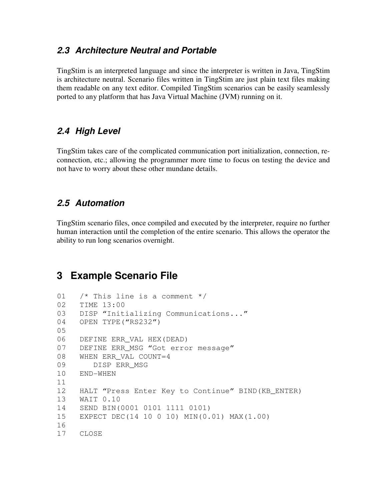#### **2.3 Architecture Neutral and Portable**

TingStim is an interpreted language and since the interpreter is written in Java, TingStim is architecture neutral. Scenario files written in TingStim are just plain text files making them readable on any text editor. Compiled TingStim scenarios can be easily seamlessly ported to any platform that has Java Virtual Machine (JVM) running on it.

#### **2.4 High Level**

TingStim takes care of the complicated communication port initialization, connection, reconnection, etc.; allowing the programmer more time to focus on testing the device and not have to worry about these other mundane details.

#### **2.5 Automation**

TingStim scenario files, once compiled and executed by the interpreter, require no further human interaction until the completion of the entire scenario. This allows the operator the ability to run long scenarios overnight.

## **3 Example Scenario File**

```
01 /* This line is a comment */ 
02 TIME 13:00 
03 DISP "Initializing Communications..."
04 OPEN TYPE("RS232") 
05 
06 DEFINE ERR_VAL HEX(DEAD) 
07 DEFINE ERR MSG "Got error message"
08 WHEN ERR_VAL COUNT=4 
09 DISP ERR_MSG 
10 END-WHEN 
11 
12 HALT "Press Enter Key to Continue" BIND(KB_ENTER) 
13 WAIT 0.10 
14 SEND BIN(0001 0101 1111 0101) 
15 EXPECT DEC(14 10 0 10) MIN(0.01) MAX(1.00) 
16 
17 CLOSE
```